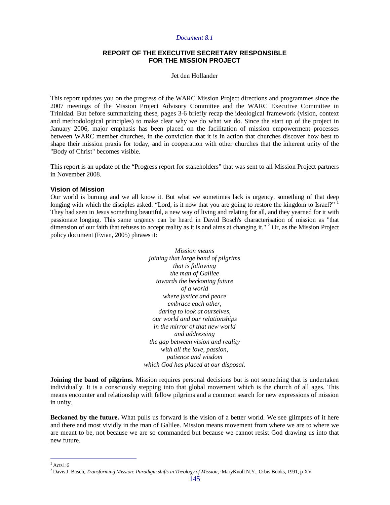## **REPORT OF THE EXECUTIVE SECRETARY RESPONSIBLE FOR THE MISSION PROJECT**

#### Jet den Hollander

This report updates you on the progress of the WARC Mission Project directions and programmes since the 2007 meetings of the Mission Project Advisory Committee and the WARC Executive Committee in Trinidad. But before summarizing these, pages 3-6 briefly recap the ideological framework (vision, context and methodological principles) to make clear why we do what we do. Since the start up of the project in January 2006, major emphasis has been placed on the facilitation of mission empowerment processes between WARC member churches, in the conviction that it is in action that churches discover how best to shape their mission praxis for today, and in cooperation with other churches that the inherent unity of the "Body of Christ" becomes visible.

This report is an update of the "Progress report for stakeholders" that was sent to all Mission Project partners in November 2008.

### **Vision of Mission**

 $\overline{a}$ 

Our world is burning and we all know it. But what we sometimes lack is urgency, something of that deep longing with which the disciples asked: "Lord, is it now that you are going to restore the kingdom to Israel?" They had seen in Jesus something beautiful, a new way of living and relating for all, and they yearned for it with passionate longing. This same urgency can be heard in David Bosch's characterisation of mission as "that dimension of our faith that refuses to accept reality as it is and aims at changing it."  $2$  Or, as the Mission Project policy document (Evian, 2005) phrases it:

> *Mission means joining that large band of pilgrims that is following the man of Galilee towards the beckoning future of a world where justice and peace embrace each other, daring to look at ourselves, our world and our relationships in the mirror of that new world and addressing the gap between vision and reality with all the love, passion, patience and wisdom which God has placed at our disposal.*

**Joining the band of pilgrims.** Mission requires personal decisions but is not something that is undertaken individually. It is a consciously stepping into that global movement which is the church of all ages. This means encounter and relationship with fellow pilgrims and a common search for new expressions of mission in unity.

**Beckoned by the future.** What pulls us forward is the vision of a better world. We see glimpses of it here and there and most vividly in the man of Galilee. Mission means movement from where we are to where we are meant to be, not because we are so commanded but because we cannot resist God drawing us into that new future.

 $1$ Acts1:6 <sup>2</sup>Davis J. Bosch, *Transforming Mission: Paradigm shifts in Theology of Mission,* , MaryKnoll N.Y., Orbis Books, 1991, p XV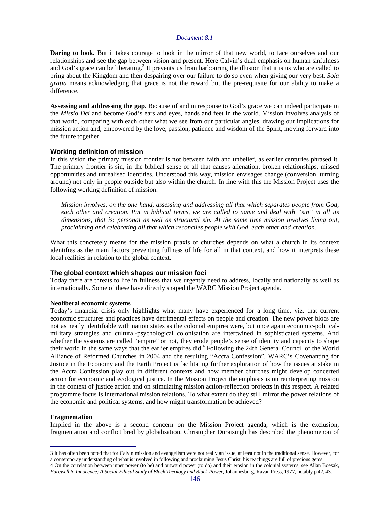**Daring to look.** But it takes courage to look in the mirror of that new world, to face ourselves and our relationships and see the gap between vision and present. Here Calvin's dual emphasis on human sinfulness and God's grace can be liberating.<sup>3</sup> It prevents us from harbouring the illusion that it is us who are called to bring about the Kingdom and then despairing over our failure to do so even when giving our very best. *Sola gratia* means acknowledging that grace is not the reward but the pre-requisite for our ability to make a difference.

**Assessing and addressing the gap.** Because of and in response to God's grace we can indeed participate in the *Missio Dei* and become God's ears and eyes, hands and feet in the world. Mission involves analysis of that world, comparing with each other what we see from our particular angles, drawing out implications for mission action and, empowered by the love, passion, patience and wisdom of the Spirit, moving forward into the future together.

### **Working definition of mission**

In this vision the primary mission frontier is not between faith and unbelief, as earlier centuries phrased it. The primary frontier is sin, in the biblical sense of all that causes alienation, broken relationships, missed opportunities and unrealised identities. Understood this way, mission envisages change (conversion, turning around) not only in people outside but also within the church. In line with this the Mission Project uses the following working definition of mission:

*Mission involves, on the one hand, assessing and addressing all that which separates people from God, each other and creation. Put in biblical terms, we are called to name and deal with "sin" in all its dimensions, that is: personal as well as structural sin. At the same time mission involves living out, proclaiming and celebrating all that which reconciles people with God, each other and creation.*

What this concretely means for the mission praxis of churches depends on what a church in its context identifies as the main factors preventing fullness of life for all in that context, and how it interprets these local realities in relation to the global context.

#### **The global context which shapes our mission foci**

Today there are threats to life in fullness that we urgently need to address, locally and nationally as well as internationally. Some of these have directly shaped the WARC Mission Project agenda.

#### **Neoliberal economic systems**

Today's financial crisis only highlights what many have experienced for a long time, viz. that current economic structures and practices have detrimental effects on people and creation. The new power blocs are not as neatly identifiable with nation states as the colonial empires were, but once again economic-politicalmilitary strategies and cultural-psychological colonisation are intertwined in sophisticated systems. And whether the systems are called "empire" or not, they erode people's sense of identity and capacity to shape their world in the same ways that the earlier empires did.<sup>4</sup> Following the 24th General Council of the World Alliance of Reformed Churches in 2004 and the resulting "Accra Confession", WARC's Covenanting for Justice in the Economy and the Earth Project is facilitating further exploration of how the issues at stake in the Accra Confession play out in different contexts and how member churches might develop concerted action for economic and ecological justice. In the Mission Project the emphasis is on reinterpreting mission in the context of justice action and on stimulating mission action-reflection projects in this respect. A related programme focus is international mission relations. To what extent do they still mirror the power relations of the economic and political systems, and how might transformation be achieved?

#### **Fragmentation**

 $\overline{a}$ 

Implied in the above is a second concern on the Mission Project agenda, which is the exclusion, fragmentation and conflict bred by globalisation. Christopher Duraisingh has described the phenomenon of

<sup>3</sup> It has often been noted that for Calvin mission and evangelism were not really an issue, at least not in the traditional sense. However, for a contemporay understanding of what is involved in following and proclaiming Jesus Christ, his teachings are full of precious gems. 4 On the correlation between inner power (to be) and outward power (to do) and their erosion in the colonial systems, see Allan Boesak, *Farewell to Innocence; A Social-Ethical Study of Black Theology and Black Power*, Johannesburg, Ravan Press, 1977, notably p 42, 43.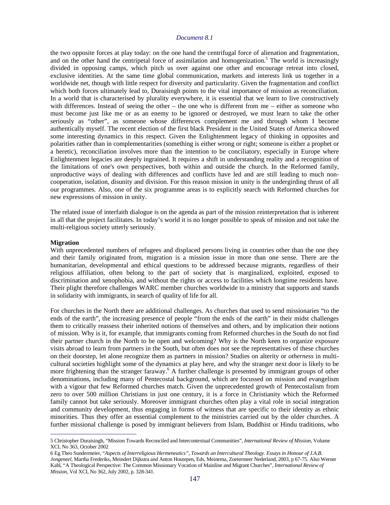the two opposite forces at play today: on the one hand the centrifugal force of alienation and fragmentation, and on the other hand the centripetal force of assimilation and homogenization.<sup>5</sup> The world is increasingly divided in opposing camps, which pitch us over against one other and encourage retreat into closed, exclusive identities. At the same time global communication, markets and interests link us together in a worldwide net, though with little respect for diversity and particularity. Given the fragmentation and conflict which both forces ultimately lead to, Duraisingh points to the vital importance of mission as reconciliation. In a world that is characterised by plurality everywhere, it is essential that we learn to live constructively with differences. Instead of seeing the other – the one who is different from me – either as someone who must become just like me or as an enemy to be ignored or destroyed, we must learn to take the other seriously as "other", as someone whose differences complement me and through whom I become authentically myself. The recent election of the first black President in the United States of America showed some interesting dynamics in this respect. Given the Enlightenment legacy of thinking in opposites and polarities rather than in complementarities (something is either wrong or right; someone is either a prophet or a heretic), reconciliation involves more than the intention to be conciliatory, especially in Europe where Enlightenment legacies are deeply ingrained. It requires a shift in understanding reality and a recognition of the limitations of one's own perspectives, both within and outside the church. In the Reformed family, unproductive ways of dealing with differences and conflicts have led and are still leading to much noncooperation, isolation, disunity and division. For this reason mission in unity is the undergirding thrust of all our programmes. Also, one of the six programme areas is to explicitly search with Reformed churches for new expressions of mission in unity.

The related issue of interfaith dialogue is on the agenda as part of the mission reinterpretation that is inherent in all that the project facilitates. In today's world it is no longer possible to speak of mission and not take the multi-religious society utterly seriously.

#### **Migration**

 $\overline{a}$ 

With unprecedented numbers of refugees and displaced persons living in countries other than the one they and their family originated from, migration is a mission issue in more than one sense. There are the humanitarian, developmental and ethical questions to be addressed because migrants, regardless of their religious affiliation, often belong to the part of society that is marginalized, exploited, exposed to discrimination and xenophobia, and without the rights or access to facilities which longtime residents have. Their plight therefore challenges WARC member churches worldwide to a ministry that supports and stands in solidarity with immigrants, in search of quality of life for all.

For churches in the North there are additional challenges. As churches that used to send missionaries "to the ends of the earth", the increasing presence of people "from the ends of the earth" in their midst challenges them to critically reassess their inherited notions of themselves and others, and by implication their notions of mission. Why is it, for example, that immigrants coming from Reformed churches in the South do not find their partner church in the North to be open and welcoming? Why is the North keen to organize exposure visits abroad to learn from partners in the South, but often does not see the representatives of these churches on their doorstep, let alone recognize them as partners in mission? Studies on alterity or *otherness* in multicultural societies highlight some of the dynamics at play here, and why the stranger next door is likely to be more frightening than the stranger faraway.<sup>6</sup> A further challenge is presented by immigrant groups of other denominations, including many of Pentecostal background, which are focussed on mission and evangelism with a vigour that few Reformed churches match. Given the unprecedented growth of Pentecostalism from zero to over 500 million Christians in just one century, it is a force in Christianity which the Reformed family cannot but take seriously. Moreover immigrant churches often play a vital role in social integration and community development, thus engaging in forms of witness that are specific to their identity as ethnic minorities. Thus they offer an essential complement to the ministries carried out by the older churches. A further missional challenge is posed by immigrant believers from Islam, Buddhist or Hindu traditions, who

<sup>5</sup> Christopher Duraisingh, "Mission Towards Reconciled and Intercontextual Communities", *International Review of Mission*, Volume XCI, No 363, October 2002

<sup>6</sup> Eg Theo Sundermeier, "*Aspects of Interreligious Hermeneutics", Towards an Intercultural Theology. Essays in Honour of J.A.B. Jongeneel,* Martha Frederiks, Meindert Dijkstra and Anton Houtepen, Eds, Meinema, Zoetermeer Nederland, 2003, p 67-75. Also Werner Kahl, "A Theological Perspective: The Common Missionary Vocation of Mainline and Migrant Churches", *International Review of Mission,* Vol XCI, No 362, July 2002, p. 328-341.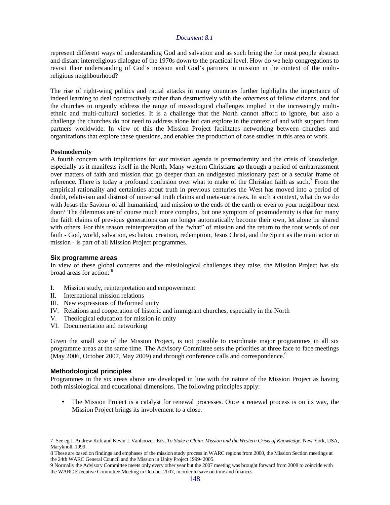represent different ways of understanding God and salvation and as such bring the for most people abstract and distant interreligious dialogue of the 1970s down to the practical level. How do we help congregations to revisit their understanding of God's mission and God's partners in mission in the context of the multireligious neighbourhood?

The rise of right-wing politics and racial attacks in many countries further highlights the importance of indeed learning to deal constructively rather than destructively with the *otherness* of fellow citizens, and for the churches to urgently address the range of missiological challenges implied in the increasingly multiethnic and multi-cultural societies. It is a challenge that the North cannot afford to ignore, but also a challenge the churches do not need to address alone but can explore in the context of and with support from partners worldwide. In view of this the Mission Project facilitates networking between churches and organizations that explore these questions, and enables the production of case studies in this area of work.

#### **Postmodernity**

A fourth concern with implications for our mission agenda is postmodernity and the crisis of knowledge, especially as it manifests itself in the North. Many western Christians go through a period of embarrassment over matters of faith and mission that go deeper than an undigested missionary past or a secular frame of reference. There is today a profound confusion over what to make of the Christian faith as such.<sup>7</sup> From the empirical rationality and certainties about truth in previous centuries the West has moved into a period of doubt, relativism and distrust of universal truth claims and meta-narratives. In such a context, what do we do with Jesus the Saviour of all humankind, and mission to the ends of the earth or even to your neighbour next door? The dilemmas are of course much more complex, but one symptom of postmodernity is that for many the faith claims of previous generations can no longer automatically become their own, let alone be shared with others. For this reason reinterpretation of the "what" of mission and the return to the root words of our faith - God, world, salvation, eschaton, creation, redemption, Jesus Christ, and the Spirit as the main actor in mission - is part of all Mission Project programmes.

#### **Six programme areas**

In view of these global concerns and the missiological challenges they raise, the Mission Project has six broad areas for action: <sup>8</sup>

- I. Mission study, reinterpretation and empowerment
- II. International mission relations
- III. New expressions of Reformed unity
- IV. Relations and cooperation of historic and immigrant churches, especially in the North
- V. Theological education for mission in unity
- VI. Documentation and networking

Given the small size of the Mission Project, is not possible to coordinate major programmes in all six programme areas at the same time. The Advisory Committee sets the priorities at three face to face meetings (May 2006, October 2007, May 2009) and through conference calls and correspondence.<sup>9</sup>

### **Methodological principles**

 $\overline{a}$ 

Programmes in the six areas above are developed in line with the nature of the Mission Project as having both missiological and educational dimensions. The following principles apply:

• The Mission Project is a catalyst for renewal processes. Once a renewal process is on its way, the Mission Project brings its involvement to a close.

<sup>7</sup> See eg J. Andrew Kirk and Kevin J. Vanhoozer, Eds, *To Stake a Claim. Mission and the Western Crisis of Knowledge*, New York, USA, Maryknoll, 1999.

<sup>8</sup> These are based on findings and emphases of the mission study process in WARC regions from 2000, the Mission Section meetings at the 24th WARC General Council and the Mission in Unity Project 1999- 2005.

<sup>9</sup> Normally the Advisory Committee meets only every other year but the 2007 meeting was brought forward from 2008 to coincide with the WARC Executive Committee Meeting in October 2007, in order to save on time and finances.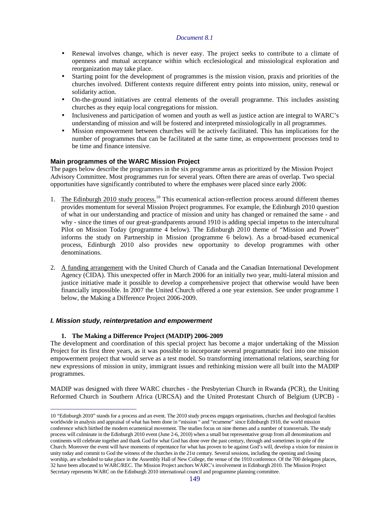- Renewal involves change, which is never easy. The project seeks to contribute to a climate of openness and mutual acceptance within which ecclesiological and missiological exploration and reorganization may take place.
- Starting point for the development of programmes is the mission vision, praxis and priorities of the churches involved. Different contexts require different entry points into mission, unity, renewal or solidarity action.
- On-the-ground initiatives are central elements of the overall programme. This includes assisting churches as they equip local congregations for mission.
- Inclusiveness and participation of women and youth as well as justice action are integral to WARC's understanding of mission and will be fostered and interpreted missiologically in all programmes.
- Mission empowerment between churches will be actively facilitated. This has implications for the number of programmes that can be facilitated at the same time, as empowerment processes tend to be time and finance intensive.

# **Main programmes of the WARC Mission Project**

The pages below describe the programmes in the six programme areas as prioritized by the Mission Project Advisory Committee. Most programmes run for several years. Often there are areas of overlap. Two special opportunities have significantly contributed to where the emphases were placed since early 2006:

- 1. The Edinburgh 2010 study process.<sup>10</sup> This ecumenical action-reflection process around different themes provides momentum for several Mission Project programmes. For example, the Edinburgh 2010 question of what in our understanding and practice of mission and unity has changed or remained the same - and why - since the times of our great-grandparents around 1910 is adding special impetus to the intercultural Pilot on Mission Today (programme 4 below). The Edinburgh 2010 theme of "Mission and Power" informs the study on Partnership in Mission (programme 6 below). As a broad-based ecumenical process, Edinburgh 2010 also provides new opportunity to develop programmes with other denominations.
- 2. A funding arrangement with the United Church of Canada and the Canadian International Development Agency (CIDA). This unexpected offer in March 2006 for an initially two year, multi-lateral mission and justice initiative made it possible to develop a comprehensive project that otherwise would have been financially impossible. In 2007 the United Church offered a one year extension. See under programme 1 below, the Making a Difference Project 2006-2009.

## **I. Mission study, reinterpretation and empowerment**

## **1. The Making a Difference Project (MADIP) 2006-2009**

The development and coordination of this special project has become a major undertaking of the Mission Project for its first three years, as it was possible to incorporate several programmatic foci into one mission empowerment project that would serve as a test model. So transforming international relations, searching for new expressions of mission in unity, immigrant issues and rethinking mission were all built into the MADIP programmes.

MADIP was designed with three WARC churches - the Presbyterian Church in Rwanda (PCR), the Uniting Reformed Church in Southern Africa (URCSA) and the United Protestant Church of Belgium (UPCB) -

 $\overline{a}$ 10 "Edinburgh 2010" stands for a process and an event. The 2010 study process engages organisations, churches and theological faculties worldwide in analysis and appraisal of what has been done in "mission " and "ecumene" since Edinburgh 1910, the world mission conference which birthed the modern ecumenical movement. The studies focus on nine themes and a number of transversals. The study process will culminate in the Edinburgh 2010 event (June 2-6, 2010) when a small but representative group from all denominations and continents will celebrate together and thank God for what God has done over the past century, through and sometimes in spite of the Church. Moreover the event will have moments of repentance for what has proven to be against God's will, develop a vision for mission in unity today and commit to God the witness of the churches in the 21st century. Several sessions, including the opening and closing worship, are scheduled to take place in the Assembly Hall of New College, the venue of the 1910 conference. Of the 700 delegates places, 32 have been allocated to WARC/REC. The Mission Project anchors WARC's involvement in Edinburgh 2010. The Mission Project Secretary represents WARC on the Edinburgh 2010 international council and programme planning committee.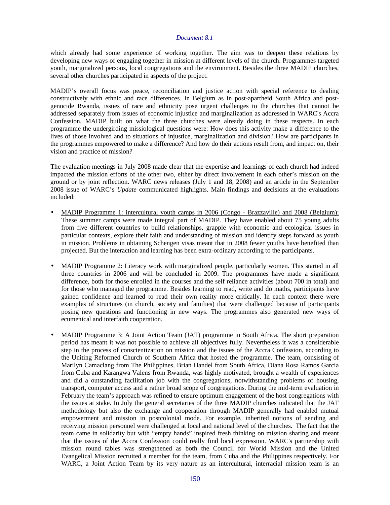which already had some experience of working together. The aim was to deepen these relations by developing new ways of engaging together in mission at different levels of the church. Programmes targeted youth, marginalized persons, local congregations and the environment. Besides the three MADIP churches, several other churches participated in aspects of the project.

MADIP's overall focus was peace, reconciliation and justice action with special reference to dealing constructively with ethnic and race differences. In Belgium as in post-apartheid South Africa and postgenocide Rwanda, issues of race and ethnicity pose urgent challenges to the churches that cannot be addressed separately from issues of economic injustice and marginalization as addressed in WARC's Accra Confession. MADIP built on what the three churches were already doing in these respects. In each programme the undergirding missiological questions were: How does this activity make a difference to the lives of those involved and to situations of injustice, marginalization and division? How are participants in the programmes empowered to make a difference? And how do their actions result from, and impact on, their vision and practice of mission?

The evaluation meetings in July 2008 made clear that the expertise and learnings of each church had indeed impacted the mission efforts of the other two, either by direct involvement in each other's mission on the ground or by joint reflection. WARC news releases (July 1 and 18, 2008) and an article in the September 2008 issue of WARC's *Update* communicated highlights. Main findings and decisions at the evaluations included:

- MADIP Programme 1: intercultural youth camps in 2006 (Congo Brazzaville) and 2008 (Belgium): These summer camps were made integral part of MADIP. They have enabled about 75 young adults from five different countries to build relationships, grapple with economic and ecological issues in particular contexts, explore their faith and understanding of mission and identify steps forward as youth in mission. Problems in obtaining Schengen visas meant that in 2008 fewer youths have benefited than projected. But the interaction and learning has been extra-ordinary according to the participants.
- MADIP Programme 2: Literacy work with marginalized people, particularly women. This started in all three countries in 2006 and will be concluded in 2009. The programmes have made a significant difference, both for those enrolled in the courses and the self reliance activities (about 700 in total) and for those who managed the programme. Besides learning to read, write and do maths, participants have gained confidence and learned to read their own reality more critically. In each context there were examples of structures (in church, society and families) that were challenged because of participants posing new questions and functioning in new ways. The programmes also generated new ways of ecumenical and interfaith cooperation.
- MADIP Programme 3: A Joint Action Team (JAT) programme in South Africa. The short preparation period has meant it was not possible to achieve all objectives fully. Nevertheless it was a considerable step in the process of conscientization on mission and the issues of the Accra Confession, according to the Uniting Reformed Church of Southern Africa that hosted the programme. The team, consisting of Marilyn Camaclang from The Philippines, Brian Handel from South Africa, Diana Rosa Ramos Garcia from Cuba and Karangwa Valens from Rwanda, was highly motivated, brought a wealth of experiences and did a outstanding facilitation job with the congregations, notwithstanding problems of housing, transport, computer access and a rather broad scope of congregations. During the mid-term evaluation in February the team's approach was refined to ensure optimum engagement of the host congregations with the issues at stake. In July the general secretaries of the three MADIP churches indicated that the JAT methodology but also the exchange and cooperation through MADIP generally had enabled mutual empowerment and mission in postcolonial mode. For example, inherited notions of sending and receiving mission personnel were challenged at local and national level of the churches. The fact that the team came in solidarity but with "empty hands" inspired fresh thinking on mission sharing and meant that the issues of the Accra Confession could really find local expression. WARC's partnership with mission round tables was strengthened as both the Council for World Mission and the United Evangelical Mission recruited a member for the team, from Cuba and the Philippines respectively. For WARC, a Joint Action Team by its very nature as an intercultural, interracial mission team is an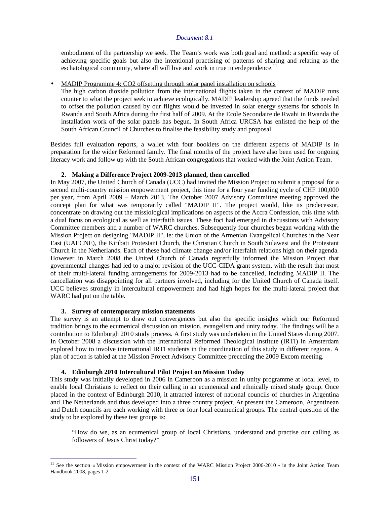embodiment of the partnership we seek. The Team's work was both goal and method: a specific way of achieving specific goals but also the intentional practising of patterns of sharing and relating as the eschatological community, where all will live and work in true interdependence.<sup>11</sup>

# • MADIP Programme 4: CO2 offsetting through solar panel installation on schools

The high carbon dioxide pollution from the international flights taken in the context of MADIP runs counter to what the project seek to achieve ecologically. MADIP leadership agreed that the funds needed to offset the pollution caused by our flights would be invested in solar energy systems for schools in Rwanda and South Africa during the first half of 2009. At the Ecole Secondaire de Rwahi in Rwanda the installation work of the solar panels has begun. In South Africa URCSA has enlisted the help of the South African Council of Churches to finalise the feasibility study and proposal.

Besides full evaluation reports, a wallet with four booklets on the different aspects of MADIP is in preparation for the wider Reformed family. The final months of the project have also been used for ongoing literacy work and follow up with the South African congregations that worked with the Joint Action Team.

### **2. Making a Difference Project 2009-2013 planned, then cancelled**

In May 2007, the United Church of Canada (UCC) had invited the Mission Project to submit a proposal for a second multi-country mission empowerment project, this time for a four year funding cycle of CHF 100,000 per year, from April 2009 – March 2013. The October 2007 Advisory Committee meeting approved the concept plan for what was temporarily called "MADIP II". The project would, like its predecessor, concentrate on drawing out the missiological implications on aspects of the Accra Confession, this time with a dual focus on ecological as well as interfaith issues. These foci had emerged in discussions with Advisory Committee members and a number of WARC churches. Subsequently four churches began working with the Mission Project on designing "MADIP II", ie: the Union of the Armenian Evangelical Churches in the Near East (UAECNE), the Kiribati Protestant Church, the Christian Church in South Sulawesi and the Protestant Church in the Netherlands. Each of these had climate change and/or interfaith relations high on their agenda. However in March 2008 the United Church of Canada regretfully informed the Mission Project that governmental changes had led to a major revision of the UCC-CIDA grant system, with the result that most of their multi-lateral funding arrangements for 2009-2013 had to be cancelled, including MADIP II. The cancellation was disappointing for all partners involved, including for the United Church of Canada itself. UCC believes strongly in intercultural empowerment and had high hopes for the multi-lateral project that WARC had put on the table.

#### **3. Survey of contemporary mission statements**

 $\overline{a}$ 

The survey is an attempt to draw out convergences but also the specific insights which our Reformed tradition brings to the ecumenical discussion on mission, evangelism and unity today. The findings will be a contribution to Edinburgh 2010 study process. A first study was undertaken in the United States during 2007. In October 2008 a discussion with the International Reformed Theological Institute (IRTI) in Amsterdam explored how to involve international IRTI students in the coordination of this study in different regions. A plan of action is tabled at the Mission Project Advisory Committee preceding the 2009 Excom meeting.

## **4. Edinburgh 2010 Intercultural Pilot Project on Mission Today**

This study was initially developed in 2006 in Cameroon as a mission in unity programme at local level, to enable local Christians to reflect on their calling in an ecumenical and ethnically mixed study group. Once placed in the context of Edinburgh 2010, it attracted interest of national councils of churches in Argentina and The Netherlands and thus developed into a three country project. At present the Cameroon, Argentinean and Dutch councils are each working with three or four local ecumenical groups. The central question of the study to be explored by these test groups is:

"How do we, as an ecumenical group of local Christians, understand and practise our calling as followers of Jesus Christ today?"

<sup>&</sup>lt;sup>11</sup> See the section « Mission empowerment in the context of the WARC Mission Project 2006-2010 » in the Joint Action Team Handbook 2008, pages 1-2.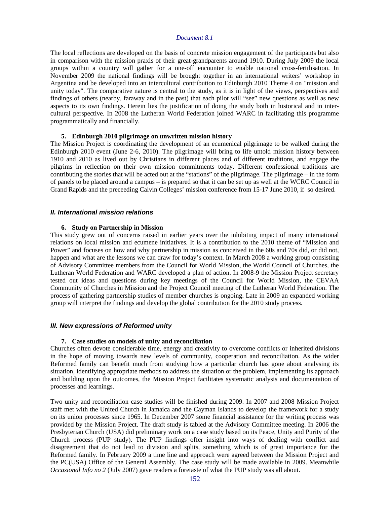The local reflections are developed on the basis of concrete mission engagement of the participants but also in comparison with the mission praxis of their great-grandparents around 1910. During July 2009 the local groups within a country will gather for a one-off encounter to enable national cross-fertilisation. In November 2009 the national findings will be brought together in an international writers' workshop in Argentina and be developed into an intercultural contribution to Edinburgh 2010 Theme 4 on "mission and unity today". The comparative nature is central to the study, as it is in light of the views, perspectives and findings of others (nearby, faraway and in the past) that each pilot will "see" new questions as well as new aspects to its own findings. Herein lies the justification of doing the study both in historical and in intercultural perspective. In 2008 the Lutheran World Federation joined WARC in facilitating this programme programmatically and financially.

### **5. Edinburgh 2010 pilgrimage on unwritten mission history**

The Mission Project is coordinating the development of an ecumenical pilgrimage to be walked during the Edinburgh 2010 event (June 2-6, 2010). The pilgrimage will bring to life untold mission history between 1910 and 2010 as lived out by Christians in different places and of different traditions, and engage the pilgrims in reflection on their own mission commitments today. Different confessional traditions are contributing the stories that will be acted out at the "stations" of the pilgrimage. The pilgrimage – in the form of panels to be placed around a campus – is prepared so that it can be set up as well at the WCRC Council in Grand Rapids and the preceeding Calvin Colleges' mission conference from 15-17 June 2010, if so desired.

#### **II. International mission relations**

#### **6. Study on Partnership in Mission**

This study grew out of concerns raised in earlier years over the inhibiting impact of many international relations on local mission and ecumene initiatives. It is a contribution to the 2010 theme of "Mission and Power" and focuses on how and why partnership in mission as conceived in the 60s and 70s did, or did not, happen and what are the lessons we can draw for today's context. In March 2008 a working group consisting of Advisory Committee members from the Council for World Mission, the World Council of Churches, the Lutheran World Federation and WARC developed a plan of action. In 2008-9 the Mission Project secretary tested out ideas and questions during key meetings of the Council for World Mission, the CEVAA Community of Churches in Mission and the Project Council meeting of the Lutheran World Federation. The process of gathering partnership studies of member churches is ongoing. Late in 2009 an expanded working group will interpret the findings and develop the global contribution for the 2010 study process.

### **III. New expressions of Reformed unity**

#### **7. Case studies on models of unity and reconciliation**

Churches often devote considerable time, energy and creativity to overcome conflicts or inherited divisions in the hope of moving towards new levels of community, cooperation and reconciliation. As the wider Reformed family can benefit much from studying how a particular church has gone about analysing its situation, identifying appropriate methods to address the situation or the problem, implementing its approach and building upon the outcomes, the Mission Project facilitates systematic analysis and documentation of processes and learnings.

Two unity and reconciliation case studies will be finished during 2009. In 2007 and 2008 Mission Project staff met with the United Church in Jamaica and the Cayman Islands to develop the framework for a study on its union processes since 1965. In December 2007 some financial assistance for the writing process was provided by the Mission Project. The draft study is tabled at the Advisory Committee meeting. In 2006 the Presbyterian Church (USA) did preliminary work on a case study based on its Peace, Unity and Purity of the Church process (PUP study). The PUP findings offer insight into ways of dealing with conflict and disagreement that do not lead to division and splits, something which is of great importance for the Reformed family. In February 2009 a time line and approach were agreed between the Mission Project and the PC(USA) Office of the General Assembly. The case study will be made available in 2009. Meanwhile *Occasional Info no 2* (July 2007) gave readers a foretaste of what the PUP study was all about.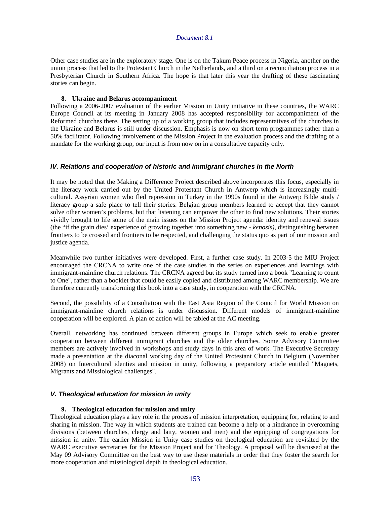Other case studies are in the exploratory stage. One is on the Takum Peace process in Nigeria, another on the union process that led to the Protestant Church in the Netherlands, and a third on a reconciliation process in a Presbyterian Church in Southern Africa. The hope is that later this year the drafting of these fascinating stories can begin.

## **8. Ukraine and Belarus accompaniment**

Following a 2006-2007 evaluation of the earlier Mission in Unity initiative in these countries, the WARC Europe Council at its meeting in January 2008 has accepted responsibility for accompaniment of the Reformed churches there. The setting up of a working group that includes representatives of the churches in the Ukraine and Belarus is still under discussion. Emphasis is now on short term programmes rather than a 50% facilitator. Following involvement of the Mission Project in the evaluation process and the drafting of a mandate for the working group, our input is from now on in a consultative capacity only.

# **IV. Relations and cooperation of historic and immigrant churches in the North**

It may be noted that the Making a Difference Project described above incorporates this focus, especially in the literacy work carried out by the United Protestant Church in Antwerp which is increasingly multicultural. Assyrian women who fled repression in Turkey in the 1990s found in the Antwerp Bible study / literacy group a safe place to tell their stories. Belgian group members learned to accept that they cannot solve other women's problems, but that listening can empower the other to find new solutions. Their stories vividly brought to life some of the main issues on the Mission Project agenda: identity and renewal issues (the "if the grain dies' experience of growing together into something new - *kenosis)*, distinguishing between frontiers to be crossed and frontiers to be respected, and challenging the status quo as part of our mission and justice agenda.

Meanwhile two further initiatives were developed. First, a further case study. In 2003-5 the MIU Project encouraged the CRCNA to write one of the case studies in the series on experiences and learnings with immigrant-mainline church relations. The CRCNA agreed but its study turned into a book "Learning to count to One", rather than a booklet that could be easily copied and distributed among WARC membership. We are therefore currently transforming this book into a case study, in cooperation with the CRCNA.

Second, the possibility of a Consultation with the East Asia Region of the Council for World Mission on immigrant-mainline church relations is under discussion. Different models of immigrant-mainline cooperation will be explored. A plan of action will be tabled at the AC meeting.

Overall, networking has continued between different groups in Europe which seek to enable greater cooperation between different immigrant churches and the older churches. Some Advisory Committee members are actively involved in workshops and study days in this area of work. The Executive Secretary made a presentation at the diaconal working day of the United Protestant Church in Belgium (November 2008) on Intercultural identies and mission in unity, following a preparatory article entitled "Magnets, Migrants and Missiological challenges".

## **V. Theological education for mission in unity**

## **9. Theological education for mission and unity**

Theological education plays a key role in the process of mission interpretation, equipping for, relating to and sharing in mission. The way in which students are trained can become a help or a hindrance in overcoming divisions (between churches, clergy and laity, women and men) and the equipping of congregations for mission in unity. The earlier Mission in Unity case studies on theological education are revisited by the WARC executive secretaries for the Mission Project and for Theology. A proposal will be discussed at the May 09 Advisory Committee on the best way to use these materials in order that they foster the search for more cooperation and missiological depth in theological education.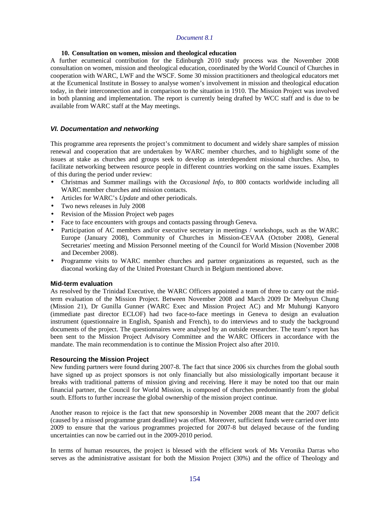## **10. Consultation on women, mission and theological education**

A further ecumenical contribution for the Edinburgh 2010 study process was the November 2008 consultation on women, mission and theological education, coordinated by the World Council of Churches in cooperation with WARC, LWF and the WSCF. Some 30 mission practitioners and theological educators met at the Ecumenical Institute in Bossey to analyse women's involvement in mission and theological education today, in their interconnection and in comparison to the situation in 1910. The Mission Project was involved in both planning and implementation. The report is currently being drafted by WCC staff and is due to be available from WARC staff at the May meetings.

## **VI. Documentation and networking**

This programme area represents the project's commitment to document and widely share samples of mission renewal and cooperation that are undertaken by WARC member churches, and to highlight some of the issues at stake as churches and groups seek to develop as interdependent missional churches. Also, to facilitate networking between resource people in different countries working on the same issues. Examples of this during the period under review:

- Christmas and Summer mailings with the *Occasional Info,* to 800 contacts worldwide including all WARC member churches and mission contacts.
- Articles for WARC's *Update* and other periodicals.
- Two news releases in July 2008
- Revision of the Mission Project web pages
- Face to face encounters with groups and contacts passing through Geneva.
- Participation of AC members and/or executive secretary in meetings / workshops, such as the WARC Europe (January 2008), Community of Churches in Mission-CEVAA (October 2008), General Secretaries' meeting and Mission Personnel meeting of the Council for World Mission (November 2008 and December 2008).
- Programme visits to WARC member churches and partner organizations as requested, such as the diaconal working day of the United Protestant Church in Belgium mentioned above.

## **Mid-term evaluation**

As resolved by the Trinidad Executive, the WARC Officers appointed a team of three to carry out the midterm evaluation of the Mission Project. Between November 2008 and March 2009 Dr Meehyun Chung (Mission 21), Dr Gunilla Gunner (WARC Exec and Mission Project AC) and Mr Muhungi Kanyoro (immediate past director ECLOF) had two face-to-face meetings in Geneva to design an evaluation instrument (questionnaire in English, Spanish and French), to do interviews and to study the background documents of the project. The questionnaires were analysed by an outside researcher. The team's report has been sent to the Mission Project Advisory Committee and the WARC Officers in accordance with the mandate. The main recommendation is to continue the Mission Project also after 2010.

## **Resourcing the Mission Project**

New funding partners were found during 2007-8. The fact that since 2006 six churches from the global south have signed up as project sponsors is not only financially but also missiologically important because it breaks with traditional patterns of mission giving and receiving. Here it may be noted too that our main financial partner, the Council for World Mission, is composed of churches predominantly from the global south. Efforts to further increase the global ownership of the mission project continue.

Another reason to rejoice is the fact that new sponsorship in November 2008 meant that the 2007 deficit (caused by a missed programme grant deadline) was offset. Moreover, sufficient funds were carried over into 2009 to ensure that the various programmes projected for 2007-8 but delayed because of the funding uncertainties can now be carried out in the 2009-2010 period.

In terms of human resources, the project is blessed with the efficient work of Ms Veronika Darras who serves as the administrative assistant for both the Mission Project (30%) and the office of Theology and